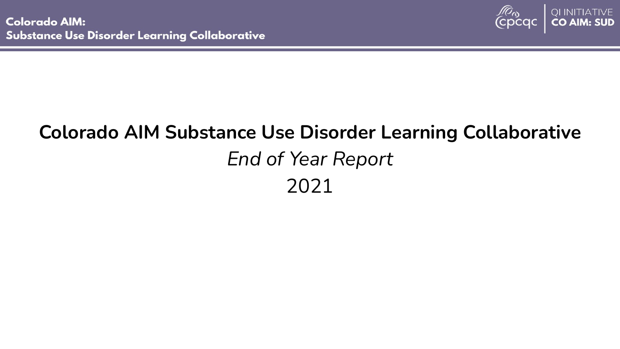

## **Colorado AIM Substance Use Disorder Learning Collaborative** *End of Year Report* 2021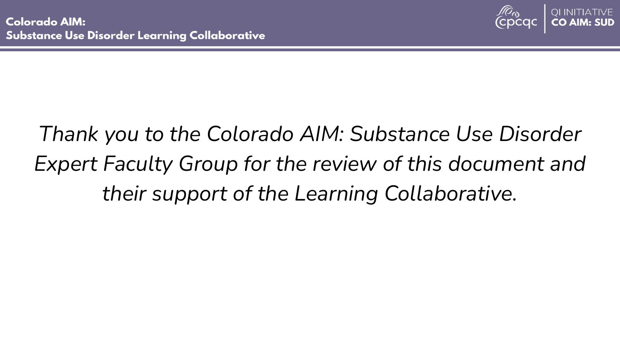

# *Thank you to the Colorado AIM: Substance Use Disorder Expert Faculty Group for the review of this document and their support of the Learning Collaborative.*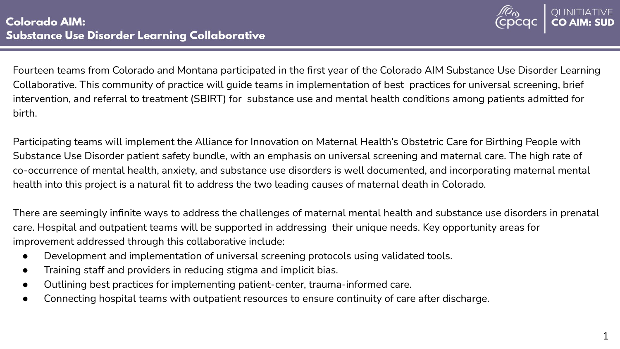

Fourteen teams from Colorado and Montana participated in the first year of the Colorado AIM Substance Use Disorder Learning Collaborative. This community of practice will guide teams in implementation of best practices for universal screening, brief intervention, and referral to treatment (SBIRT) for substance use and mental health conditions among patients admitted for birth.

Participating teams will implement the Alliance for Innovation on Maternal Health's Obstetric Care for Birthing People with Substance Use Disorder patient safety bundle, with an emphasis on universal screening and maternal care. The high rate of co-occurrence of mental health, anxiety, and substance use disorders is well documented, and incorporating maternal mental health into this project is a natural fit to address the two leading causes of maternal death in Colorado.

There are seemingly infinite ways to address the challenges of maternal mental health and substance use disorders in prenatal care. Hospital and outpatient teams will be supported in addressing their unique needs. Key opportunity areas for improvement addressed through this collaborative include:

- Development and implementation of universal screening protocols using validated tools.
- Training staff and providers in reducing stigma and implicit bias.
- Outlining best practices for implementing patient-center, trauma-informed care.
- Connecting hospital teams with outpatient resources to ensure continuity of care after discharge.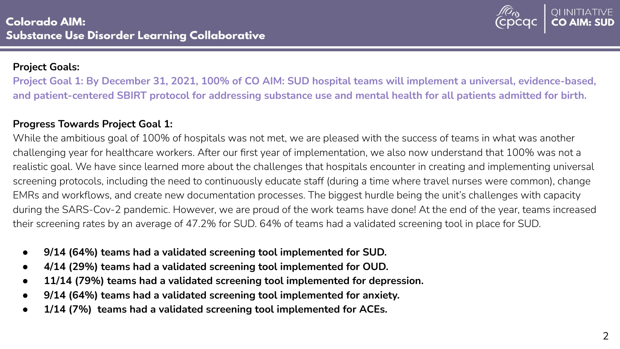

#### **Project Goals:**

**Project Goal 1: By December 31, 2021, 100% of CO AIM: SUD hospital teams will implement a universal, evidence-based, and patient-centered SBIRT protocol for addressing substance use and mental health for all patients admitted for birth.**

## **Progress Towards Project Goal 1:**

While the ambitious goal of 100% of hospitals was not met, we are pleased with the success of teams in what was another challenging year for healthcare workers. After our first year of implementation, we also now understand that 100% was not a realistic goal. We have since learned more about the challenges that hospitals encounter in creating and implementing universal screening protocols, including the need to continuously educate staff (during a time where travel nurses were common), change EMRs and workflows, and create new documentation processes. The biggest hurdle being the unit's challenges with capacity during the SARS-Cov-2 pandemic. However, we are proud of the work teams have done! At the end of the year, teams increased their screening rates by an average of 47.2% for SUD. 64% of teams had a validated screening tool in place for SUD.

- **9/14 (64%) teams had a validated screening tool implemented for SUD.**
- **4/14 (29%) teams had a validated screening tool implemented for OUD.**
- **11/14 (79%) teams had a validated screening tool implemented for depression.**
- **9/14 (64%) teams had a validated screening tool implemented for anxiety.**
- **1/14 (7%) teams had a validated screening tool implemented for ACEs.**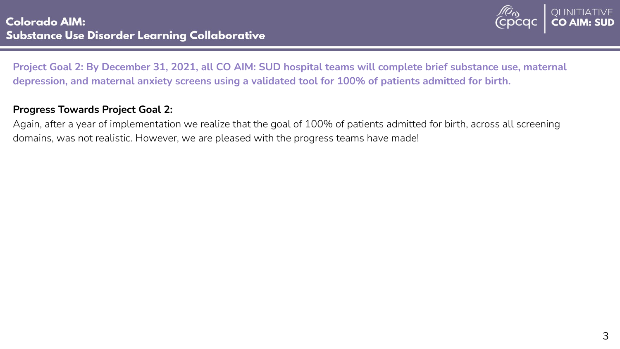

**Project Goal 2: By December 31, 2021, all CO AIM: SUD hospital teams will complete brief substance use, maternal depression, and maternal anxiety screens using a validated tool for 100% of patients admitted for birth.** 

#### **Progress Towards Project Goal 2:**

Again, after a year of implementation we realize that the goal of 100% of patients admitted for birth, across all screening domains, was not realistic. However, we are pleased with the progress teams have made!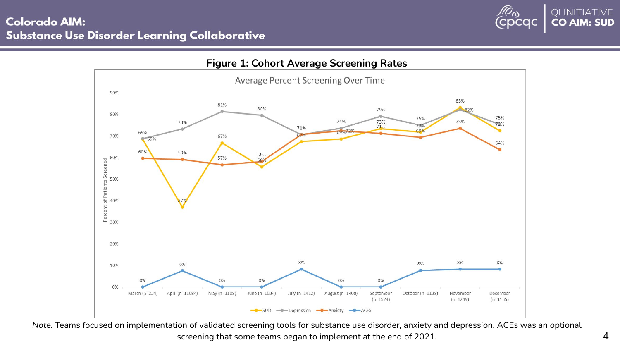## **Colorado AIM: Substance Use Disorder Learning Collaborative**





*Note.* Teams focused on implementation of validated screening tools for substance use disorder, anxiety and depression. ACEs was an optional screening that some teams began to implement at the end of 2021.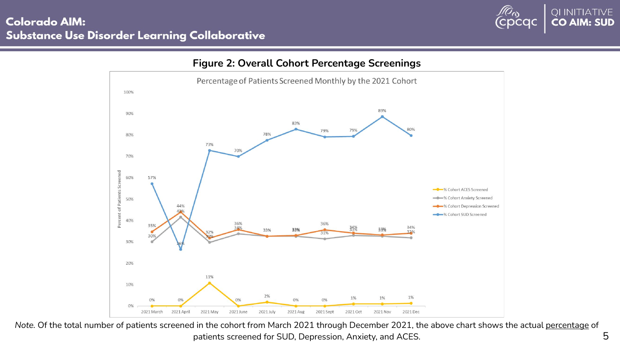## **Colorado AIM: Substance Use Disorder Learning Collaborative**





#### *Note.* Of the total number of patients screened in the cohort from March 2021 through December 2021, the above chart shows the actual percentage of patients screened for SUD, Depression, Anxiety, and ACES.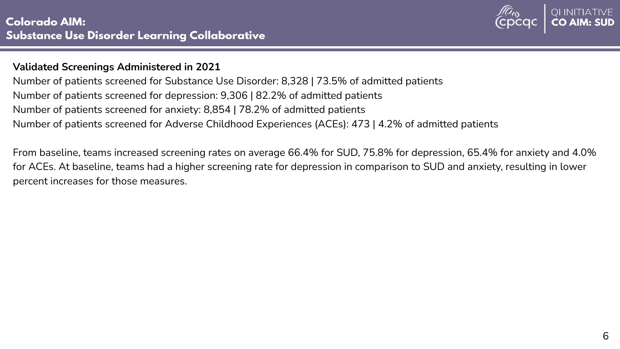

#### **Validated Screenings Administered in 2021**

Number of patients screened for Substance Use Disorder: 8,328 | 73.5% of admitted patients Number of patients screened for depression: 9,306 | 82.2% of admitted patients Number of patients screened for anxiety: 8,854 | 78.2% of admitted patients Number of patients screened for Adverse Childhood Experiences (ACEs): 473 | 4.2% of admitted patients

From baseline, teams increased screening rates on average 66.4% for SUD, 75.8% for depression, 65.4% for anxiety and 4.0% for ACEs. At baseline, teams had a higher screening rate for depression in comparison to SUD and anxiety, resulting in lower percent increases for those measures.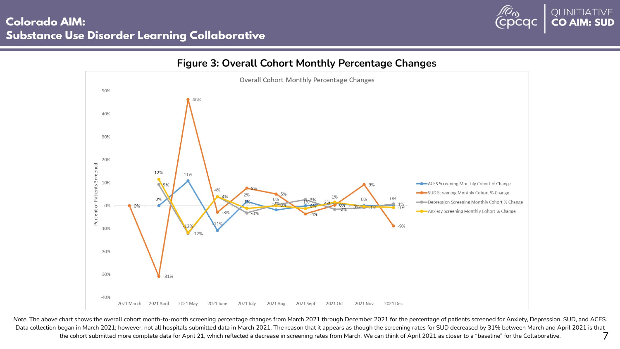



**Figure 3: Overall Cohort Monthly Percentage Changes**

*Note.* The above chart shows the overall cohort month-to-month screening percentage changes from March 2021 through December 2021 for the percentage of patients screened for Anxiety, Depression, SUD, and ACES. Data collection began in March 2021; however, not all hospitals submitted data in March 2021. The reason that it appears as though the screening rates for SUD decreased by 31% between March and April 2021 is that the cohort submitted more complete data for April 21, which reflected a decrease in screening rates from March. We can think of April 2021 as closer to a "baseline" for the Collaborative. 7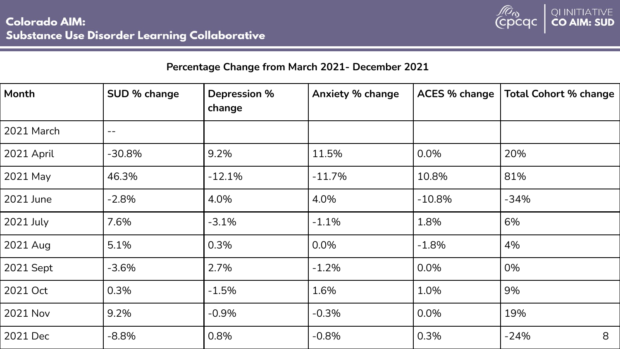

| Percentage Change from March 2021- December 2021 |                   |                        |                         |                      |                              |
|--------------------------------------------------|-------------------|------------------------|-------------------------|----------------------|------------------------------|
| Month                                            | SUD % change      | Depression %<br>change | <b>Anxiety % change</b> | <b>ACES % change</b> | <b>Total Cohort % change</b> |
| 2021 March                                       | $\qquad \qquad -$ |                        |                         |                      |                              |
| 2021 April                                       | $-30.8%$          | 9.2%                   | 11.5%                   | 0.0%                 | 20%                          |
| 2021 May                                         | 46.3%             | $-12.1%$               | $-11.7%$                | 10.8%                | 81%                          |
| 2021 June                                        | $-2.8%$           | 4.0%                   | 4.0%                    | $-10.8%$             | $-34%$                       |
| 2021 July                                        | 7.6%              | $-3.1%$                | $-1.1%$                 | 1.8%                 | 6%                           |
| 2021 Aug                                         | 5.1%              | 0.3%                   | $0.0\%$                 | $-1.8%$              | 4%                           |
| 2021 Sept                                        | $-3.6%$           | 2.7%                   | $-1.2%$                 | 0.0%                 | 0%                           |
| 2021 Oct                                         | 0.3%              | $-1.5%$                | 1.6%                    | 1.0%                 | 9%                           |
| 2021 Nov                                         | 9.2%              | $-0.9%$                | $-0.3%$                 | 0.0%                 | 19%                          |
| 2021 Dec                                         | $-8.8%$           | 0.8%                   | $-0.8%$                 | 0.3%                 | $-24%$<br>8                  |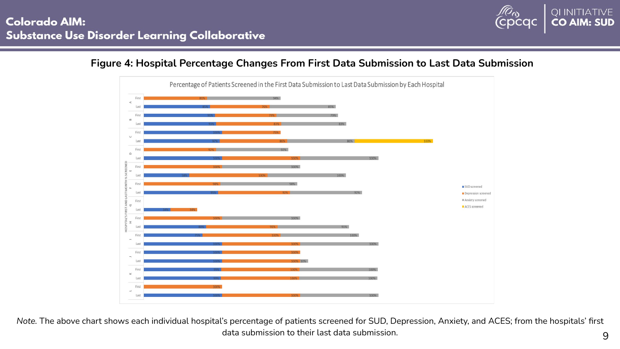

## **Figure 4: Hospital Percentage Changes From First Data Submission to Last Data Submission**



*Note.* The above chart shows each individual hospital's percentage of patients screened for SUD, Depression, Anxiety, and ACES; from the hospitals' first data submission to their last data submission.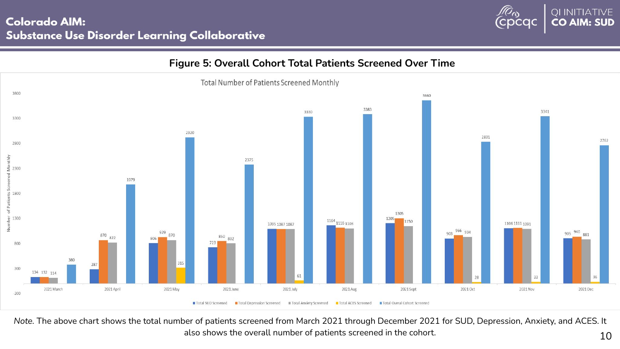



*Note.* The above chart shows the total number of patients screened from March 2021 through December 2021 for SUD, Depression, Anxiety, and ACES. It also shows the overall number of patients screened in the cohort.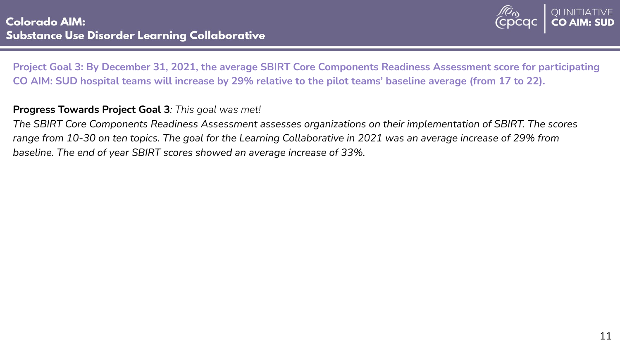

**Project Goal 3: By December 31, 2021, the average SBIRT Core Components Readiness Assessment score for participating CO AIM: SUD hospital teams will increase by 29% relative to the pilot teams' baseline average (from 17 to 22).**

### **Progress Towards Project Goal 3***: This goal was met!*

*The SBIRT Core Components Readiness Assessment assesses organizations on their implementation of SBIRT. The scores range from 10-30 on ten topics. The goal for the Learning Collaborative in 2021 was an average increase of 29% from baseline. The end of year SBIRT scores showed an average increase of 33%.*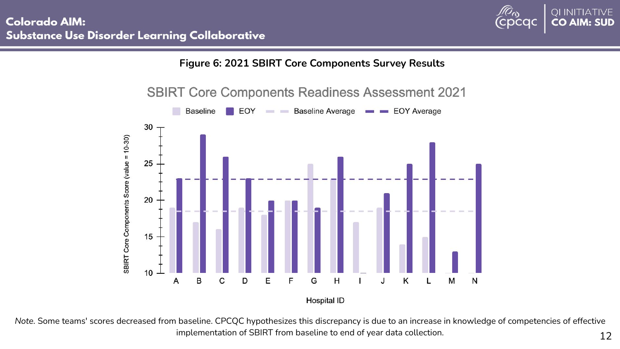



Hospital ID

*Note.* Some teams' scores decreased from baseline. CPCQC hypothesizes this discrepancy is due to an increase in knowledge of competencies of effective implementation of SBIRT from baseline to end of year data collection.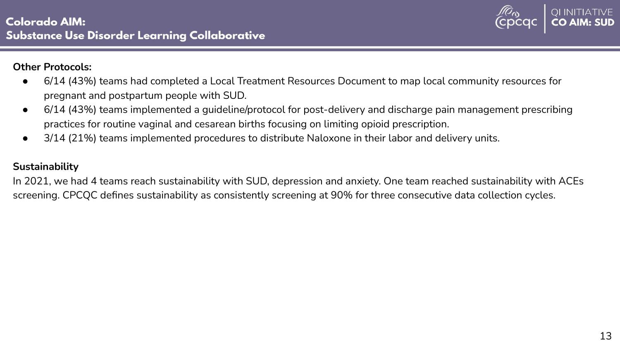

#### **Other Protocols:**

- 6/14 (43%) teams had completed a Local Treatment Resources Document to map local community resources for pregnant and postpartum people with SUD.
- 6/14 (43%) teams implemented a guideline/protocol for post-delivery and discharge pain management prescribing practices for routine vaginal and cesarean births focusing on limiting opioid prescription.
- 3/14 (21%) teams implemented procedures to distribute Naloxone in their labor and delivery units.

## **Sustainability**

In 2021, we had 4 teams reach sustainability with SUD, depression and anxiety. One team reached sustainability with ACEs screening. CPCQC defines sustainability as consistently screening at 90% for three consecutive data collection cycles.